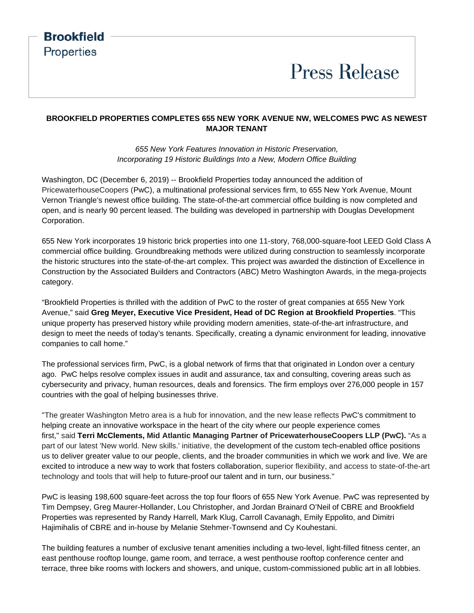## **Brookfield** Properties

# **Press Release**

### **BROOKFIELD PROPERTIES COMPLETES 655 NEW YORK AVENUE NW, WELCOMES PWC AS NEWEST MAJOR TENANT**

*655 New York Features Innovation in Historic Preservation, Incorporating 19 Historic Buildings Into a New, Modern Office Building*

Washington, DC (December 6, 2019) -- Brookfield Properties today announced the addition of PricewaterhouseCoopers (PwC), a multinational professional services firm, to 655 New York Avenue, Mount Vernon Triangle's newest office building. The state-of-the-art commercial office building is now completed and open, and is nearly 90 percent leased. The building was developed in partnership with Douglas Development Corporation.

655 New York incorporates 19 historic brick properties into one 11-story, 768,000-square-foot LEED Gold Class A commercial office building. Groundbreaking methods were utilized during construction to seamlessly incorporate the historic structures into the state-of-the-art complex. This project was awarded the distinction of Excellence in Construction by the Associated Builders and Contractors (ABC) Metro Washington Awards, in the mega-projects category.

"Brookfield Properties is thrilled with the addition of PwC to the roster of great companies at 655 New York Avenue," said **Greg Meyer, Executive Vice President, Head of DC Region at Brookfield Properties**. "This unique property has preserved history while providing modern amenities, state-of-the-art infrastructure, and design to meet the needs of today's tenants. Specifically, creating a dynamic environment for leading, innovative companies to call home."

The professional services firm, PwC, is a global network of firms that that originated in London over a century ago. PwC helps resolve complex issues in audit and assurance, tax and consulting, covering areas such as cybersecurity and privacy, human resources, deals and forensics. The firm employs over 276,000 people in 157 countries with the goal of helping businesses thrive.

"The greater Washington Metro area is a hub for innovation, and the new lease reflects PwC's commitment to helping create an innovative workspace in the heart of the city where our people experience comes first," said **Terri McClements, Mid Atlantic Managing Partner of PricewaterhouseCoopers LLP (PwC).** "As a part of our latest 'New world. New skills.' initiative, the development of the custom tech-enabled office positions us to deliver greater value to our people, clients, and the broader communities in which we work and live. We are excited to introduce a new way to work that fosters collaboration, superior flexibility, and access to state-of-the-art technology and tools that will help to future-proof our talent and in turn, our business."

PwC is leasing 198,600 square-feet across the top four floors of 655 New York Avenue. PwC was represented by Tim Dempsey, Greg Maurer-Hollander, Lou Christopher, and Jordan Brainard O'Neil of CBRE and Brookfield Properties was represented by Randy Harrell, Mark Klug, Carroll Cavanagh, Emily Eppolito, and Dimitri Hajimihalis of CBRE and in-house by Melanie Stehmer-Townsend and Cy Kouhestani.

The building features a number of exclusive tenant amenities including a two-level, light-filled fitness center, an east penthouse rooftop lounge, game room, and terrace, a west penthouse rooftop conference center and terrace, three bike rooms with lockers and showers, and unique, custom-commissioned public art in all lobbies.